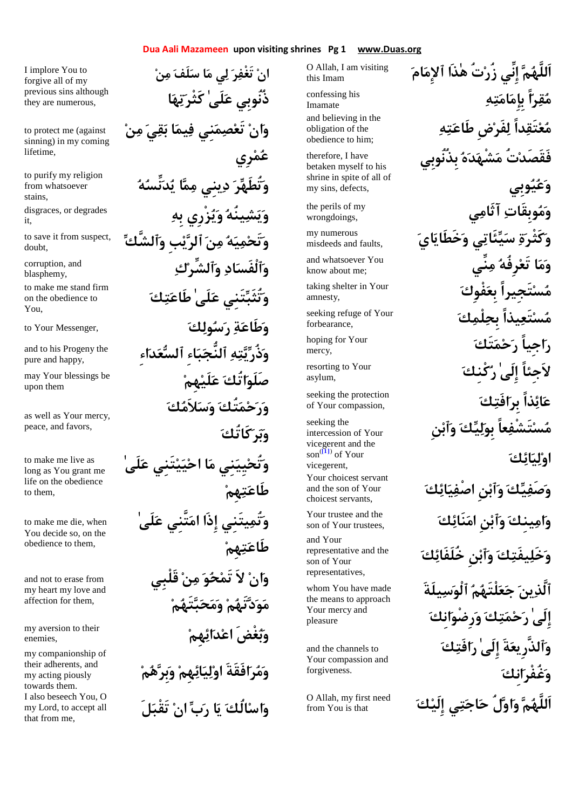## **Dua Aali Mazameen upon visiting shrines Pg 1 www.Duas.org**

I implore You to forgive all of my previous sins although they are numerous,

to protect me (against sinning) in my coming lifetime,

from whatsoever stains,

it,

doubt,

blasphemy,

on the obedience to You,

pure and happy,

upon them

as well as Your mercy, peace, and favors,

to make me live as long as You grant me life on the obedience to them,

to make me die, when You decide so, on the obedience to them,

and not to erase from my heart my love and affection for them,

enemies,

my companionship of their adherents, and my acting piously towards them. I also beseech You, O my Lord, to accept all that from me,

**ان تَغْفر لي ما سلَف من ذُنُوبِي علَىٰ كَثْرتها وان تَعصمنِي فيما بقي من عُمْرِي** to purify my religion<br>**position whatsoever and the community of the community of the community of the community of the community of بِه زْرِييو ينُهشيو** disgraces, or degrades **ٱلشَّكو بِيٱلر نم هيمتَحو** to save it from suspect, **كٱلشِّرو ادٱلْفَسو** corruption, and to make me stand firm<br>**وَتُثَبِّيَنِي عَلَى طَاعَتِكَ** to Your Messenger, **كولسر ةطَاعو ِاءدعٱلس ِاءبٱلنُّج هتيذُرو** and to his Progeny the **هِملَيع اتُكصَلَو** may Your blessings be **ورحمتُك وسلاَمك وبركَاتُك وتُحيِينِي ما احييتَنِي علَىٰ طَاعتهِم وتُميتَنِي إِذَا امتَّنِي علَىٰ طَاعتهِم وان لاَ تَمحو من قَلْبِي مودتَهم ومحبتَهم a** my aversion to their my aversion to their my aversion to their **ومرافَقَةَ اوليائهِم وبِرهم واسالُك يا رب ان تَقْبلَ** 

O Allah, I am visiting this Imam

Imamate obligation of the obedience to him;

therefore, I have betaken myself to his shrine in spite of all of my sins, defects,

wrongdoings,

misdeeds and faults,

know about me;

amnesty,

forbearance,

mercy,

asylum,

seeking the protection of Your compassion,

seeking the intercession of Your vicegerent and the son(**[1]**) of Your vicegerent, Your choicest servant and the son of Your choicest servants,

son of Your trustees,

and Your representative and the son of Your representatives,

whom You have made the means to approach Your mercy and pleasure

and the channels to Your compassion and forgiveness.

from You is that

 **اَللَّهم إِنِّي زُرتُ هٰذَا ٱلإِمام مَقِرّاً بِإِمَامَتِهِ** confessing his and believing in the<br>ه**تَعْتَقِداً لِفَرْضِ طَاعَتِهِ فَقَصَدتُ مشْهده بِذُنُوبِي وعيوبِي يَ وَمُوبِقَاتِ آثَامِي the perils of my** wrongdoings. my numerous **and faults, procedy and faults, i** and whatsoever You **in the continuum** and whatsoever You **and whatsoever You** taking shelter in Your **فَسنْتَجِيراً بِعَفْوِكَ** م**َسنْتَعِيذاً بِحِلْمِكَ** seeking refuge of Your **The hoping for Your**<br>mercy. **لاَجِئاً إِلَىٰ رَكْنك**َ isorting to Your asylum. **عائذاً بِرافَتك مستَشْفعاً بِوليك وٱبنِ اوليائك وصَفيك وٱبنِ اصْفيائك كنَائام نِٱبو ينِكم او** Your trustee and the **وخَليفَتك وٱبنِ خُلَفَائك ٱلَّذين جعلْتَهم ٱلْوسيلَةَ إِلَىٰ رحمتك ورِضْوانِك وٱلذَّرِيعةَ إِلَىٰ رافَتك وغُفْرانِك كإِلَي يتاجح لُو او ماَللَّه** O Allah, my first need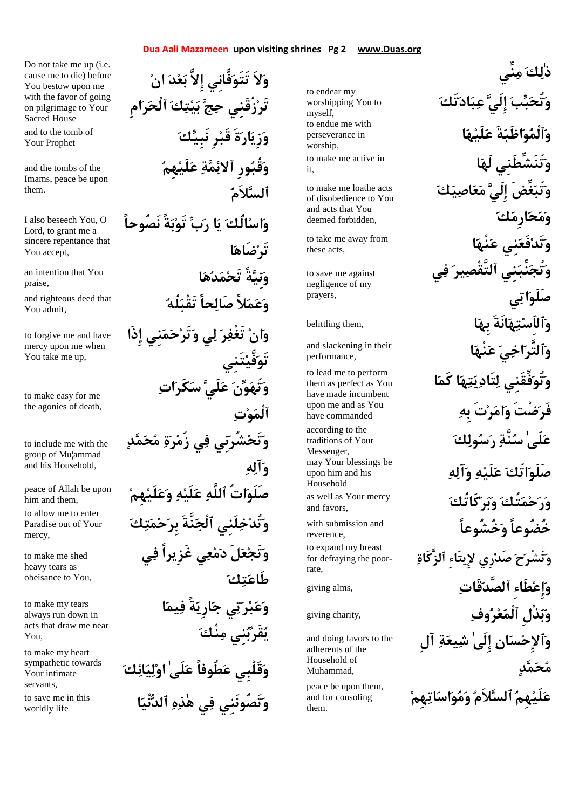#### **Dua Aali Mazameen upon visiting shrines Pg 2 www.Duas.org**

Do not take me up (i.e. cause me to die) before You bestow upon me with the favor of going on pilgrimage to Your Sacred House Your Prophet

and the tombs of the Imams, peace be upon them.

I also beseech You, O Lord, to grant me a sincere repentance that You accept,

praise,

You admit,

to forgive me and have mercy upon me when You take me up,

to make easy for me the agonies of death,

to include me with the group of Mu¦ammad and his Household,

him and them,

Paradise out of Your mercy,

to make me shed heavy tears as obeisance to You,

to make my tears always run down in acts that draw me near You,

to make my heart sympathetic towards Your intimate servants,

**انْيٱلد هذٰه يف تَصُونَنِيو** to save me in this worldly life

**ولاَ تَتَوفَّانِي إِلاَّ بعد ان تَرزُقَنِي حج بيتك ٱلْحرامِ** and to the tomb of **كَنْبَ وَرْيَارِ مَ قَبْدٍ نَبِيِّكَ وقُبورِ ٱلائمة علَيهِم ٱلسلاَم واسالُك يا رب تَوبةً نَصُوحاً تَرضَاها اهدمتَح ةًنِيو** an intention that You and righteous deed that<br>Novedmit **وان تَغْفر لي وتَرحمنِي إِذَا تَوفَّيتَنِي وتُهون علَي سكَرات ٱلْموت وتَحشُرنِي في زُمرة محمد وآله**  $\frac{1}{2}$ **peace of Allah be upon**<br>him and them. **كَتَلَّةَ بِرَحْمَتِكَ** to allow me to enter<br>Paradise out of Your **وتَجعلَ دمعي غَزِيراً في طَاعتك وعبرتي جارِيةً فيما يقَربنِي منْك وقَلْبِي عطُوفاً علَىٰ اوليائك**

worshipping You to myself, perseverance in worship, it,

to make me loathe acts of disobedience to You and acts that You deemed forbidden,

these acts,

to save me against negligence of my prayers,

performance,

to lead me to perform them as perfect as You have made incumbent upon me and as You have commanded

traditions of Your Messenger, upon him and his Household

and favors,

reverence, for defraying the poorrate,

and doing favors to the adherents of the Household of Muhammad,

and for consoling them.

**ذٰلك منِّي** to endear my<br>worshipping You to **the verships of the verships 10** to endue me with perseverance in **الَه تُنَشِّطَنِيو** to make me active in **وتُبغِّضَ إِلَي معاصيك ومحارِمك انْهع نِيفَعتَدو** to take me away from **وتُجنِّبنِي ٱلتَّقْصير في صَلَواتي وَٱلْٱسْتِهَانَةَ بِهَا** ,belittling them , **انَّرَ اخِيَ عَنْهَا and slackening in their وتُوفِّقَنِي لتَاديتها كَما فَرضْتَ وامرتَ بِه** according to the<br>**كَلَى ٰسُنَّةِ دِسَولِكَ** may Your blessings be<br>**صَلَوَاتُكَ عَلَيْهِ وَآلِهِ** as well as Your mercy<br>وَ**رَحْمَتُكَ وَبَرِ كَاتُك**َ **خُضُوعاً وَخُشُوعاً** مُسُلِّدًا with submission and o expand my breast<br>**وَتَشْرَحَ صَدْرِي لإِيتَاءِ ٱلزَّكَاةِ** مَسْتَمَعَ صَدْرِي لل giving alms, **قَاتٱلصَّد ِطَاءإِعو** giving charity, **وفرعٱلْم ذْلِبو وٱلإِحسان إِلَىٰ شيعة آلِ محمد** peace be upon them,<br>and for consoling **and for consoling**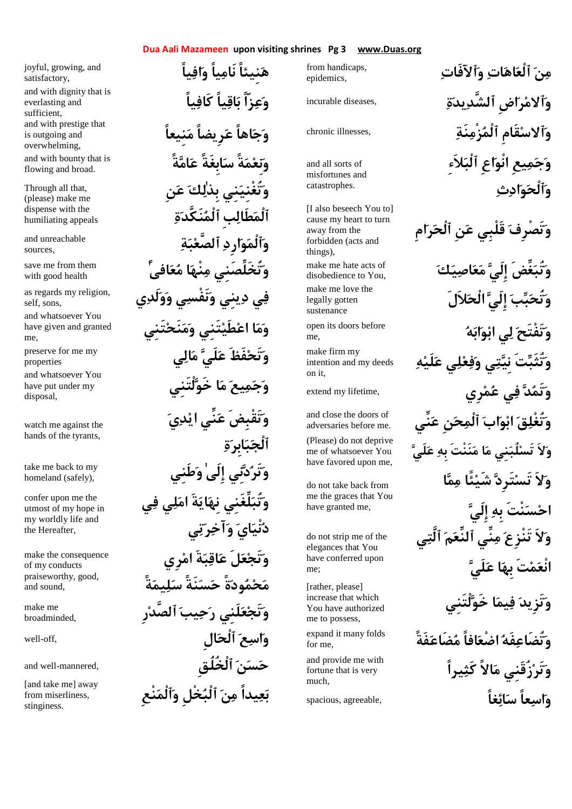# **Dua Aali Mazameen upon visiting shrines Pg 3 www.Duas.org**

joyful, growing, and satisfactory, everlasting and sufficient, is outgoing and overwhelming,

flowing and broad.

Through all that, (please) make me dispense with the humiliating appeals

sources,

with good health

as regards my religion, self, sons,

and whatsoever You have given and granted me,

properties

and whatsoever You have put under my disposal,

watch me against the hands of the tyrants,

homeland (safely),

confer upon me the utmost of my hope in my worldly life and the Hereafter,

make the consequence of my conducts praiseworthy, good, and sound,

make me broadminded,

from miserliness, stinginess.

 **هنِيئاً نَامياً وافياً** and with dignity that is<br>**وَعِزّاً بَاقِياً كَافِياً** and with prestige that<br>is outgoing and **is outgoing and قَامَةً سَابِغَةً عَامَّةً مِّسَاسِعَةً عَلَمَ**ّةً مِّلَّا flowing and broad. **وتُغْنِينِي بِذٰلك عنِ ٱلْمطَالبِ ٱلْمنَكَّدة and unreachable** and unreachable and unreachable **ًٰافىعم انْهم تُخَلِّصَنِيو** save me from them **في دينِي ونَفْسي وولَدي وما اعطَيتَنِي ومنَحتَنِي** preserve for me my properties **وجميع ما خَولْتَنِي وتَقْبِضَ عنِّي ايدي ٱلْجبابِرة طَنِيو ٰإِلَى نِيدتَرو** take me back to my **وتُبلِّغَنِي نِهايةَ املي في دنْياي وآخرتي وتَجعلَ عاقبةَ امرِي محمودةً حسنَةً سليمةً وتَجعلَنِي رحيب ٱلصَّدرِ** well-off, **الِٱلْح عاسو** and well-mannered, **ٱلْخُلُقِ نسح** rom miserliness, **بَعِيداً مِنَ ٱلْبَحْلِ وَٱلْمَنْعِ** 

epidemics,

and all sorts of misfortunes and catastrophes.

[I also beseech You to] cause my heart to turn away from the forbidden (acts and things), disobedience to You, legally gotten sustenance me, make firm my intention and my deeds

on it,

adversaries before me.

(Please) do not deprive me of whatsoever You have favored upon me,

do not take back from me the graces that You have granted me,

do not strip me of the elegances that You have conferred upon me;

[rather, please] increase that which You have authorized me to possess,

for me,

fortune that is very much,

مِنَ ٱل**ْعَاهَاتِ وَٱلآفَاتِ** مِنْ from handicaps, incurable diseases, **ةيدٱلشَّد اضِرمٱلاو** chronic illnesses, **نَةزْمٱلْم قَامِسٱلاو وجميعِ انْواعِ ٱلْبلاَءِ وٱلْحوادث وتَصْرِف قَلْبِي عنِ ٱلْحرامِ** make me hate acts of **Served in the acts of product of the visobedience to You. p** make me love the legally gotten **هابوبا يل تَفْتَحو** open its doors before **وتُثَبتَ نِيتي وفعلي علَيه** extend my lifetime, **رِيمع يف دتَمو** and close the doors of adversaries before me. (**ولاَ تَسلُبنِي ما منَنْتَ بِه علَي ولاَ تَستَرِد شَيئًا مما احسنْتَ بِه إِلَي ولاَ تَنْزِع منِّي ٱلنِّعم ٱلَّتي انْعمتَ بِها علَي وتَزِيد فيما خَولْتَنِي فَةًضَاعم افاًضْعا فَهتُضَاعو** expand it many folds and provide me with<br>**وَتَرْزُقَنِي مَالاً كَثِيراً واسعاً سائغاً** , spacious, agreeable,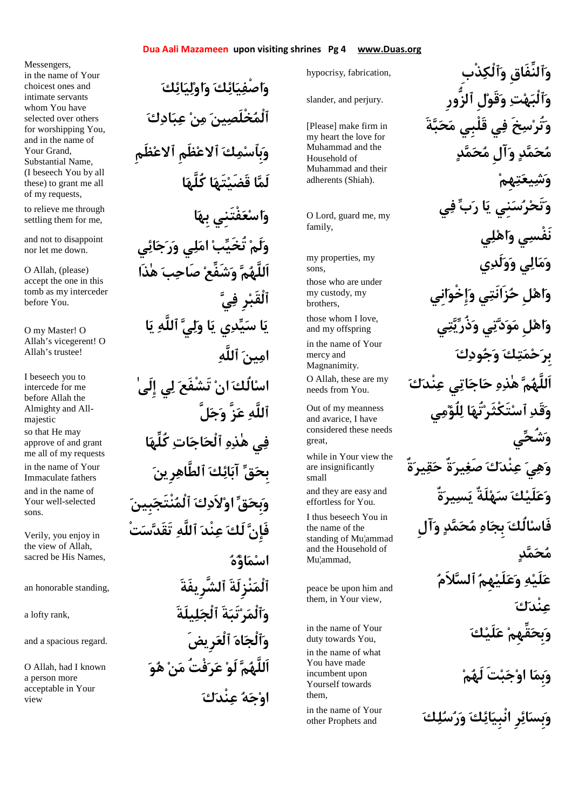## **Dua Aali Mazameen upon visiting shrines Pg 4 www.Duas.org**

Messengers, in the name of Your choicest ones and intimate servants selected over others for worshipping You, and in the name of Your Grand, Substantial Name, these) to grant me all of my requests,

settling them for me,

nor let me down.

O Allah, (please) accept the one in this tomb as my interceder before You.

O my Master! O Allah's vicegerent! O Allah's trustee!

I beseech you to intercede for me before Allah the Almighty and Allmajestic approve of and grant me all of my requests Immaculate fathers and in the name of Your well-selected sons.

Verily, you enjoy in the view of Allah, sacred be His Names,

O Allah, had I known a person more acceptable in Your view

**واصْفيائك واوليائك** whom You have<br>**آلْمُخْلَصِينَ مِنْ عِبَادِكَ وبِٱسمك ٱلاعظَمِ ٱلاعظَمِ اكُلَّه اتَهقَضَي الَم**) I beseech You by all **ابِه فْتَنِيعساو** to relieve me through and not to disappoint **and not to disappoint اَللَّهم وشَفِّع صَاحب هٰذَا ٱلْقَبرِ في يا سيدي يا ولي ٱللَّه يا امين ٱللَّه اسالُك ان تَشْفَع لي إِلَىٰ ٱللَّه عزَّ وجلَّ** eso that He may<br>**فِي هٰذِهِ ٱلْحَاجَاتِ كُلِّهَا** approve of and grant **رِينٱلطَّاه كائآب قبِح** in the name of Your **وبِحق اولاَدك ٱلْمنْتَجبِين فَإِن لَك عنْد ٱللَّه تَقَدستْ اسماؤه** an honorable standing, **ٱلشَّرِيفَةَ نْزِلَةَٱلْم** a lofty rank, **يلَةَلٱلْج ةَتَبرٱلْمو** and a spacious regard. **رِيضَٱلْع اهٱلْجو اَللَّهم لَو عرفْتُ من هو اوجه عنْدك**

[Please] make firm in my heart the love for Muhammad and the Household of Muhammad and their adherents (Shiah). O Lord, guard me, my family, sons, those who are under my custody, my brothers, and my offspring in the name of Your mercy and Magnanimity. needs from You. Out of my meanness and avarice, I have considered these needs oreat are insignificantly small effortless for You. I thus beseech You in the name of the standing of Mu¦ammad and the Household of Mu¦ammad, peace be upon him and them, in Your view, duty towards You, in the name of what You have made incumbent upon Yourself towards them, other Prophets and

**وَٱلنِّفَاقِ وَٱلْكِذْبِ** , hypocrisy, fabrication , slander, and perjury. **ٱلزُّورِ لِقَوو تهٱلْبو وتُرسخَ في قَلْبِي محبةَ محمد وآلِ محمد وشيعتهِم وتَحرسنِي يا رب في نَفْسي واهلي يلَدوو يالمو** my properties, my **واهلِ حزَانَتي وإِخْوانِي وَاهْل مَوَدَّتِي وَذُرِّيَّتِي لَهَ** and my offspring **بِرحمتك وجودك كنْدع ياتاجح هذٰه ماَللَّه** O Allah, these are my **وقَد ٱستَكْثَرتُها للُؤمي وشُحي** while in Your view the<br>are insignificantly **يَوْمُدَنَّ كَقِيبَوَنَّهُ and they are easy and and they are easy and فَاسالُك بِجاه محمد وآلِ محمد علَيه وعلَيهِم ٱلسلاَم عنْدك كلَيع قِّهِمبِحو** in the name of Your **وبِما اوجبتَ لَهم** in the name of Your<br>
other Prophets and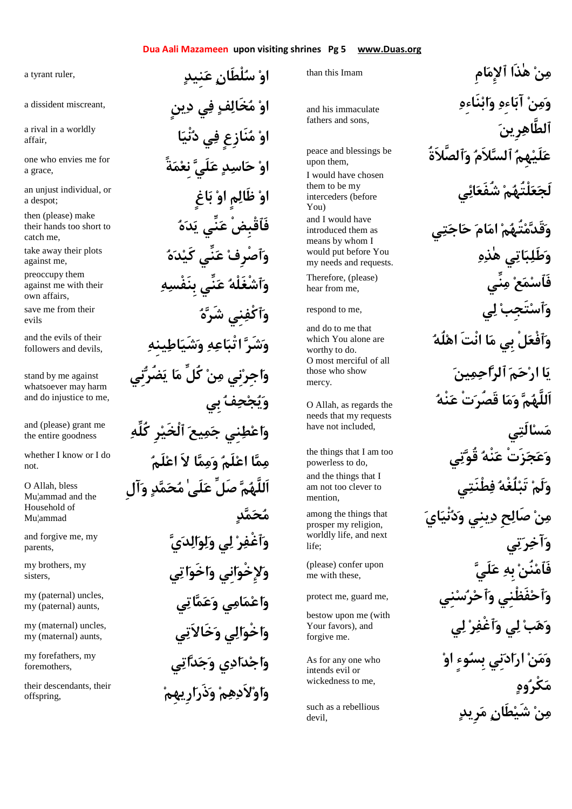# **Dua Aali Mazameen upon visiting shrines Pg 5 www.Duas.org**

a tyrant ruler,

a dissident miscreant,

a rival in a worldly affair,

one who envies me for a grace,

an unjust individual, or a despot;

their hands too short to catch me,

against me,

against me with their own affairs,

evils

followers and devils,

stand by me against whatsoever may harm and do injustice to me,

the entire goodness

not.

O Allah, bless Mu¦ammad and the Household of Mu¦ammad

parents,

my brothers, my sisters,

my (paternal) aunts,

my (maternal) aunts,

foremothers,

offspring,

**او سلْطَان عنِيد او مخَالف في دينٍ او منَازِعٍ في دنْيا او حاسد علَي نِعمةً او ظَالمٍ او باغٍ** then (please) make<br>their hands too short to **هَاَقْبِضْ عَنِّي يَدَهُ هدكَي نِّيع ٱصْرِفو** take away their plots **هبِنَفْس نِّيع ٱشْغَلْهو** preoccupy them **هشَر نِيٱكْفو** save me from their **ينِهاطشَيو هاعتْبا شَرو** and the evils of their **واجِرنِي من كُلِّ ما يضُرنِي ويجحف بِي كُلِّه رِٱلْخَي يعمج نِيطعاو** and (please) grant me **لَمعا لاَ اممو لَمعا امم** whether I know or I do **اَللَّهم صَلِّ علَىٰ محمد وآلِ محمد يدالولو يل رٱغْفو** and forgive me, my **ولإِخْوانِي واخَواتي ياتمعو ياممعاو** my (paternal) uncles, **يخَالاَتو يالخْواو** my (maternal) uncles, **ياتدجو ياددجاو** my forefathers, my

**ارِيهِمذَرو مهلاَدواو** their descendants, their

than this Imam

and his immaculate fathers and sons,

**ٱلصَّلاَةُو لاَمٱلس هِملَيع** peace and blessings be upon them, I would have chosen them to be my interceders (before You) and I would have introduced them as means by whom I would put before You my needs and requests.

Therefore, (please) hear from me,

respond to me,

worthy to do. O most merciful of all those who show mercy.

O Allah, as regards the needs that my requests have not included,

the things that I am too powerless to do, mention,

among the things that prosper my religion, worldly life, and next life;

**لَيع بِه نُنفَٱم**) please) confer upon me with these,

protect me, guard me,

bestow upon me (with Your favors), and forgive me.

As for any one who intends evil or wickedness to me,

devil,

than this immaculate  
\nand his immaculate  
\nfather and sons, com-  
\nand his immaculate  
\nupon them,  
\nI would have chosen  
\nintercoders (before  
\nYou)  
\nand I would have  
\nintercoders (before  
\nYou)  
\nand I would have  
\nintroduced them as  
\nmod 1 to be my  
\nmeans by whom I  
\nwould be more than  
\nnonadd part operators  
\nwe need as and requests.  
\nwe have no smooth  
\ntherefore  
\nas a real or cases  
\nand request.

\nExample 21. 
$$
\mathbf{a} \times \mathbf{b} \times \mathbf{c}
$$

\nTherefore, the  
\n of  $\mathbf{b} \times \mathbf{c} \times \mathbf{d}$ ,  $\mathbf{d} \times \mathbf{d} \times \mathbf{d}$   
\nwe have a non-  
\n of  $\mathbf{b} \times \mathbf{c} \times \mathbf{d}$ ,  $\mathbf{d} \times \mathbf{d} \times \mathbf{d}$   
\n for  $\mathbf{c} \times \mathbf{c}$ ,  
\n and do to me that  
\n with the  $\mathbf{c} \times \mathbf{c}$ ,  
\n and do to me that  
\n with the  $\mathbf{c} \times \mathbf{c}$ ,  
\n and the  $\mathbf{c} \times \mathbf{c}$ ,  
\n and the  $\mathbf{c} \times \mathbf{c}$ ,  
\n and the  $\mathbf{c} \times \mathbf{c}$ ,  
\n and the  $\mathbf{c} \times \mathbf{c}$ ,  
\n and the  $\mathbf{c} \times \mathbf{c}$ ,  
\n and the  $\mathbf{c} \times \mathbf{c}$ ,  
\n and the  $\mathbf{c} \times \mathbf{c}$ ,  
\n and the  $\mathbf{c} \times \mathbf{c}$ ,  
\n and the  $\mathbf{c} \times \mathbf{c}$ ,  
\n and the  $\mathbf{c} \times \mathbf{c}$ ,  
\n and the  $\mathbf{c} \times \mathbf{c}$ ,  
\n and the  $\$